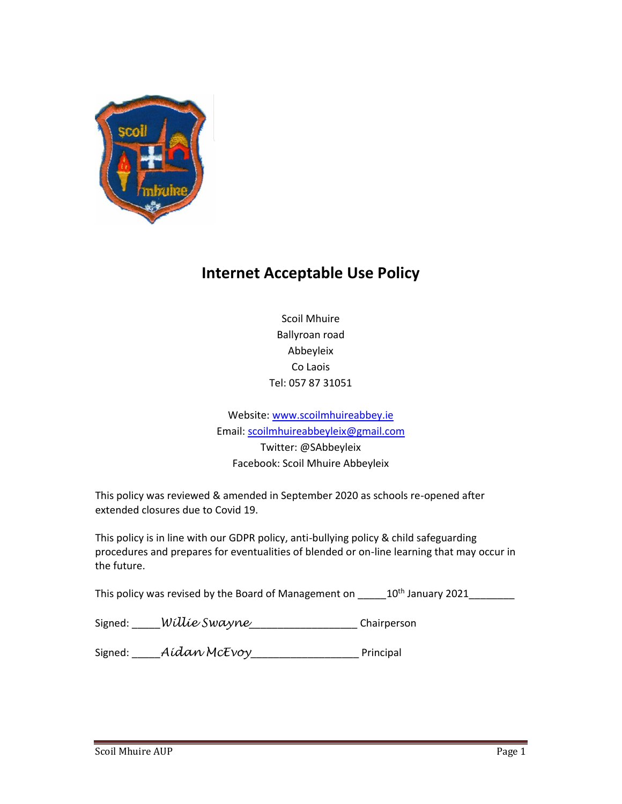

# **Internet Acceptable Use Policy**

Scoil Mhuire Ballyroan road Abbeyleix Co Laois Tel: 057 87 31051

Website: www.scoilmhuireabbey.ie Email: scoilmhuireabbeyleix@gmail.com Twitter: @SAbbeyleix Facebook: Scoil Mhuire Abbeyleix

This policy was reviewed & amended in September 2020 as schools re-opened after extended closures due to Covid 19.

This policy is in line with our GDPR policy, anti-bullying policy & child safeguarding procedures and prepares for eventualities of blended or on-line learning that may occur in the future.

This policy was revised by the Board of Management on \_\_\_\_\_10<sup>th</sup> January 2021\_\_\_\_\_\_\_\_

| Signed: | Willie Swayne | Chairperson |
|---------|---------------|-------------|
|         |               |             |

Signed: \_\_\_\_\_*Aidan McEvoy*\_\_\_\_\_\_\_\_\_\_\_\_\_\_\_\_\_\_\_ Principal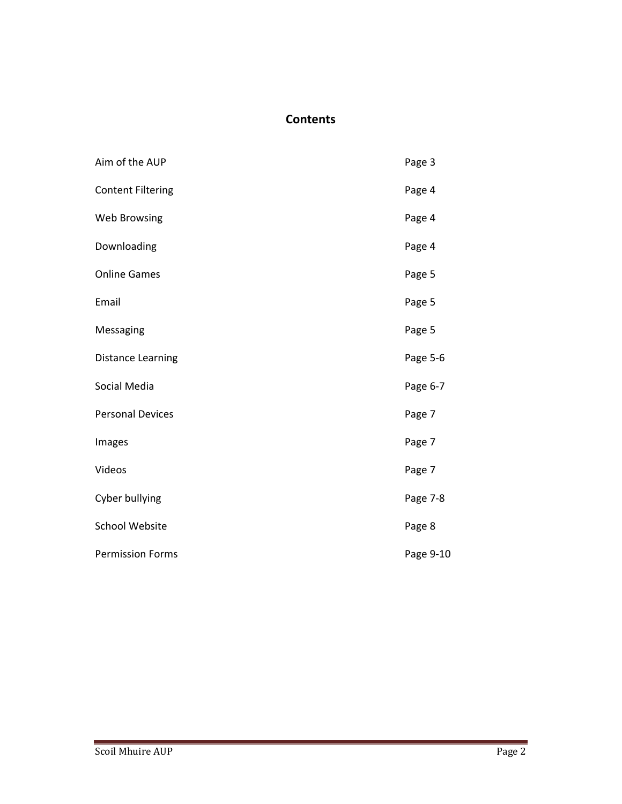# **Contents**

| Aim of the AUP           | Page 3    |
|--------------------------|-----------|
| <b>Content Filtering</b> | Page 4    |
| <b>Web Browsing</b>      | Page 4    |
| Downloading              | Page 4    |
| <b>Online Games</b>      | Page 5    |
| Email                    | Page 5    |
| Messaging                | Page 5    |
| <b>Distance Learning</b> | Page 5-6  |
| Social Media             | Page 6-7  |
| <b>Personal Devices</b>  | Page 7    |
| Images                   | Page 7    |
| Videos                   | Page 7    |
| Cyber bullying           | Page 7-8  |
| <b>School Website</b>    | Page 8    |
| <b>Permission Forms</b>  | Page 9-10 |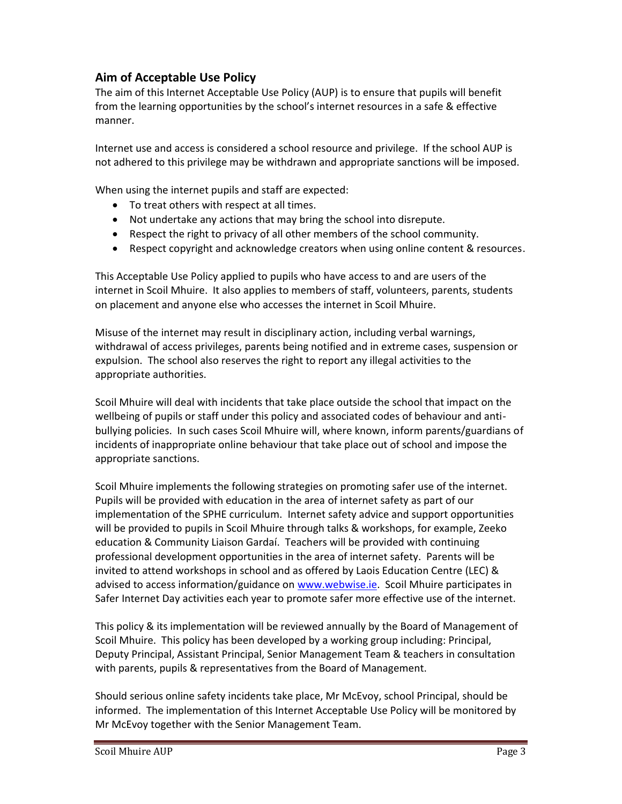# **Aim of Acceptable Use Policy**

The aim of this Internet Acceptable Use Policy (AUP) is to ensure that pupils will benefit from the learning opportunities by the school's internet resources in a safe & effective manner.

Internet use and access is considered a school resource and privilege. If the school AUP is not adhered to this privilege may be withdrawn and appropriate sanctions will be imposed.

When using the internet pupils and staff are expected:

- To treat others with respect at all times.
- Not undertake any actions that may bring the school into disrepute.
- Respect the right to privacy of all other members of the school community.
- Respect copyright and acknowledge creators when using online content & resources.

This Acceptable Use Policy applied to pupils who have access to and are users of the internet in Scoil Mhuire. It also applies to members of staff, volunteers, parents, students on placement and anyone else who accesses the internet in Scoil Mhuire.

Misuse of the internet may result in disciplinary action, including verbal warnings, withdrawal of access privileges, parents being notified and in extreme cases, suspension or expulsion. The school also reserves the right to report any illegal activities to the appropriate authorities.

Scoil Mhuire will deal with incidents that take place outside the school that impact on the wellbeing of pupils or staff under this policy and associated codes of behaviour and antibullying policies. In such cases Scoil Mhuire will, where known, inform parents/guardians of incidents of inappropriate online behaviour that take place out of school and impose the appropriate sanctions.

Scoil Mhuire implements the following strategies on promoting safer use of the internet. Pupils will be provided with education in the area of internet safety as part of our implementation of the SPHE curriculum. Internet safety advice and support opportunities will be provided to pupils in Scoil Mhuire through talks & workshops, for example, Zeeko education & Community Liaison Gardaí. Teachers will be provided with continuing professional development opportunities in the area of internet safety. Parents will be invited to attend workshops in school and as offered by Laois Education Centre (LEC) & advised to access information/guidance on www.webwise.ie. Scoil Mhuire participates in Safer Internet Day activities each year to promote safer more effective use of the internet.

This policy & its implementation will be reviewed annually by the Board of Management of Scoil Mhuire. This policy has been developed by a working group including: Principal, Deputy Principal, Assistant Principal, Senior Management Team & teachers in consultation with parents, pupils & representatives from the Board of Management.

Should serious online safety incidents take place, Mr McEvoy, school Principal, should be informed. The implementation of this Internet Acceptable Use Policy will be monitored by Mr McEvoy together with the Senior Management Team.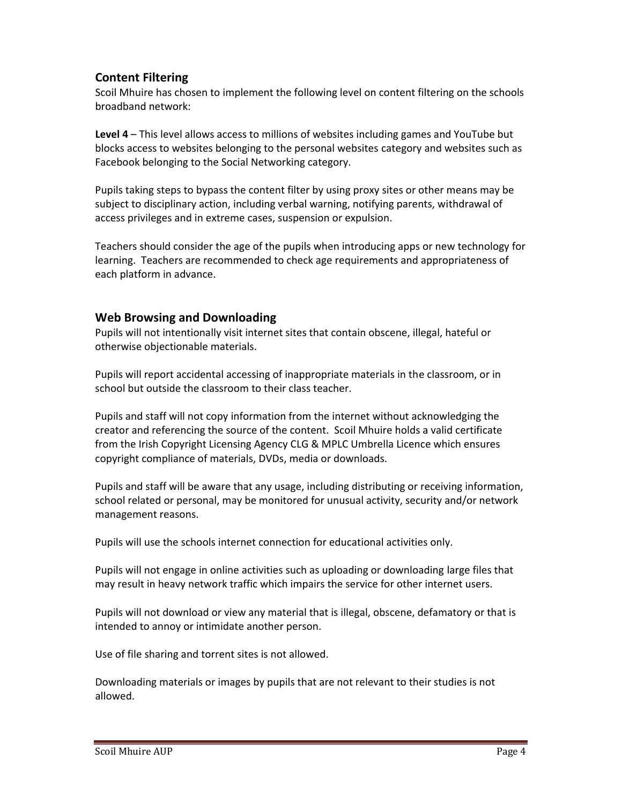## **Content Filtering**

Scoil Mhuire has chosen to implement the following level on content filtering on the schools broadband network:

**Level 4** – This level allows access to millions of websites including games and YouTube but blocks access to websites belonging to the personal websites category and websites such as Facebook belonging to the Social Networking category.

Pupils taking steps to bypass the content filter by using proxy sites or other means may be subject to disciplinary action, including verbal warning, notifying parents, withdrawal of access privileges and in extreme cases, suspension or expulsion.

Teachers should consider the age of the pupils when introducing apps or new technology for learning. Teachers are recommended to check age requirements and appropriateness of each platform in advance.

#### **Web Browsing and Downloading**

Pupils will not intentionally visit internet sites that contain obscene, illegal, hateful or otherwise objectionable materials.

Pupils will report accidental accessing of inappropriate materials in the classroom, or in school but outside the classroom to their class teacher.

Pupils and staff will not copy information from the internet without acknowledging the creator and referencing the source of the content. Scoil Mhuire holds a valid certificate from the Irish Copyright Licensing Agency CLG & MPLC Umbrella Licence which ensures copyright compliance of materials, DVDs, media or downloads.

Pupils and staff will be aware that any usage, including distributing or receiving information, school related or personal, may be monitored for unusual activity, security and/or network management reasons.

Pupils will use the schools internet connection for educational activities only.

Pupils will not engage in online activities such as uploading or downloading large files that may result in heavy network traffic which impairs the service for other internet users.

Pupils will not download or view any material that is illegal, obscene, defamatory or that is intended to annoy or intimidate another person.

Use of file sharing and torrent sites is not allowed.

Downloading materials or images by pupils that are not relevant to their studies is not allowed.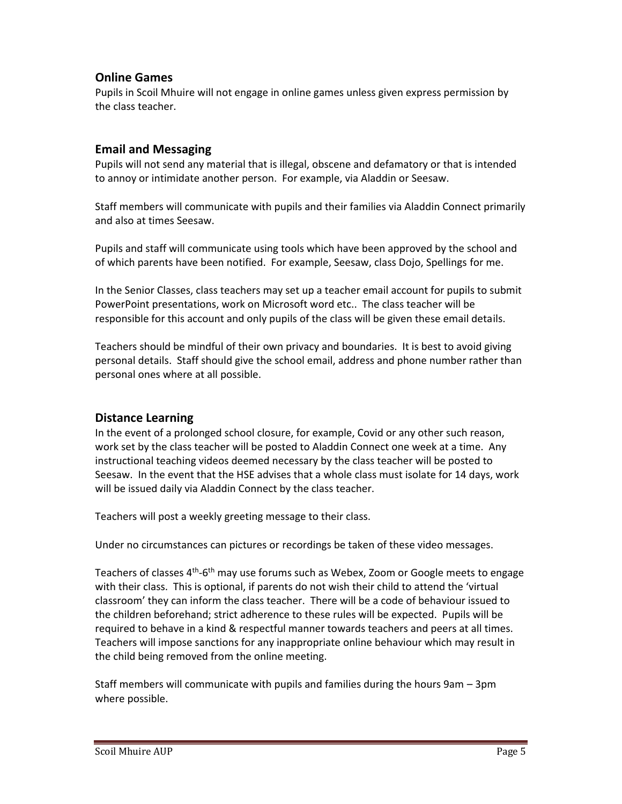## **Online Games**

Pupils in Scoil Mhuire will not engage in online games unless given express permission by the class teacher.

#### **Email and Messaging**

Pupils will not send any material that is illegal, obscene and defamatory or that is intended to annoy or intimidate another person. For example, via Aladdin or Seesaw.

Staff members will communicate with pupils and their families via Aladdin Connect primarily and also at times Seesaw.

Pupils and staff will communicate using tools which have been approved by the school and of which parents have been notified. For example, Seesaw, class Dojo, Spellings for me.

In the Senior Classes, class teachers may set up a teacher email account for pupils to submit PowerPoint presentations, work on Microsoft word etc.. The class teacher will be responsible for this account and only pupils of the class will be given these email details.

Teachers should be mindful of their own privacy and boundaries. It is best to avoid giving personal details. Staff should give the school email, address and phone number rather than personal ones where at all possible.

#### **Distance Learning**

In the event of a prolonged school closure, for example, Covid or any other such reason, work set by the class teacher will be posted to Aladdin Connect one week at a time. Any instructional teaching videos deemed necessary by the class teacher will be posted to Seesaw. In the event that the HSE advises that a whole class must isolate for 14 days, work will be issued daily via Aladdin Connect by the class teacher.

Teachers will post a weekly greeting message to their class.

Under no circumstances can pictures or recordings be taken of these video messages.

Teachers of classes 4<sup>th</sup>-6<sup>th</sup> may use forums such as Webex, Zoom or Google meets to engage with their class. This is optional, if parents do not wish their child to attend the 'virtual classroom' they can inform the class teacher. There will be a code of behaviour issued to the children beforehand; strict adherence to these rules will be expected. Pupils will be required to behave in a kind & respectful manner towards teachers and peers at all times. Teachers will impose sanctions for any inappropriate online behaviour which may result in the child being removed from the online meeting.

Staff members will communicate with pupils and families during the hours 9am – 3pm where possible.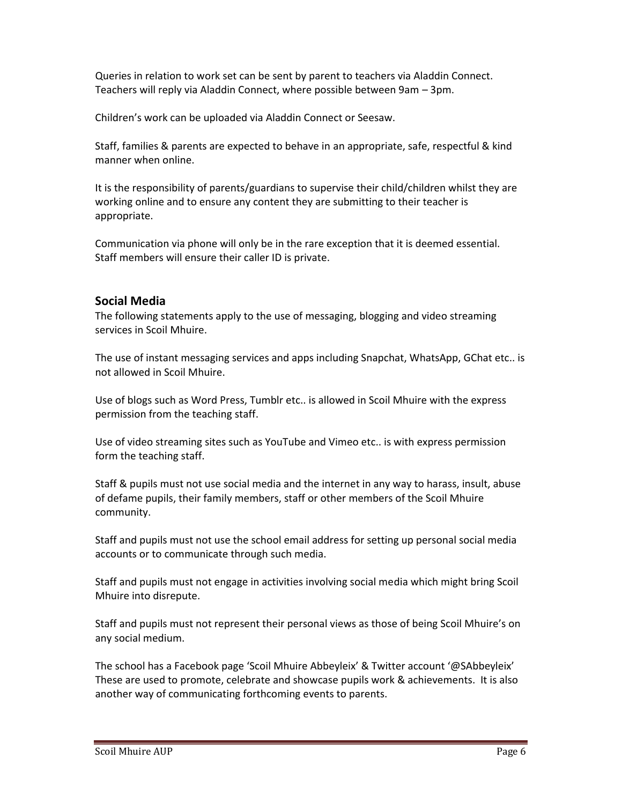Queries in relation to work set can be sent by parent to teachers via Aladdin Connect. Teachers will reply via Aladdin Connect, where possible between 9am – 3pm.

Children's work can be uploaded via Aladdin Connect or Seesaw.

Staff, families & parents are expected to behave in an appropriate, safe, respectful & kind manner when online.

It is the responsibility of parents/guardians to supervise their child/children whilst they are working online and to ensure any content they are submitting to their teacher is appropriate.

Communication via phone will only be in the rare exception that it is deemed essential. Staff members will ensure their caller ID is private.

#### **Social Media**

The following statements apply to the use of messaging, blogging and video streaming services in Scoil Mhuire.

The use of instant messaging services and apps including Snapchat, WhatsApp, GChat etc.. is not allowed in Scoil Mhuire.

Use of blogs such as Word Press, Tumblr etc.. is allowed in Scoil Mhuire with the express permission from the teaching staff.

Use of video streaming sites such as YouTube and Vimeo etc.. is with express permission form the teaching staff.

Staff & pupils must not use social media and the internet in any way to harass, insult, abuse of defame pupils, their family members, staff or other members of the Scoil Mhuire community.

Staff and pupils must not use the school email address for setting up personal social media accounts or to communicate through such media.

Staff and pupils must not engage in activities involving social media which might bring Scoil Mhuire into disrepute.

Staff and pupils must not represent their personal views as those of being Scoil Mhuire's on any social medium.

The school has a Facebook page 'Scoil Mhuire Abbeyleix' & Twitter account '@SAbbeyleix' These are used to promote, celebrate and showcase pupils work & achievements. It is also another way of communicating forthcoming events to parents.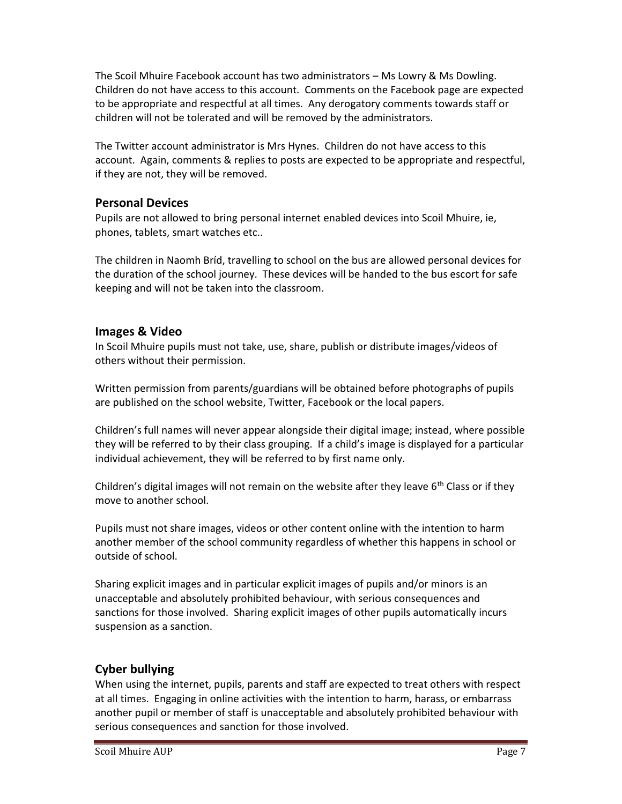The Scoil Mhuire Facebook account has two administrators – Ms Lowry & Ms Dowling. Children do not have access to this account. Comments on the Facebook page are expected to be appropriate and respectful at all times. Any derogatory comments towards staff or children will not be tolerated and will be removed by the administrators.

The Twitter account administrator is Mrs Hynes. Children do not have access to this account. Again, comments & replies to posts are expected to be appropriate and respectful, if they are not, they will be removed.

#### **Personal Devices**

Pupils are not allowed to bring personal internet enabled devices into Scoil Mhuire, ie, phones, tablets, smart watches etc..

The children in Naomh Bríd, travelling to school on the bus are allowed personal devices for the duration of the school journey. These devices will be handed to the bus escort for safe keeping and will not be taken into the classroom.

#### **Images & Video**

In Scoil Mhuire pupils must not take, use, share, publish or distribute images/videos of others without their permission.

Written permission from parents/guardians will be obtained before photographs of pupils are published on the school website, Twitter, Facebook or the local papers.

Children's full names will never appear alongside their digital image; instead, where possible they will be referred to by their class grouping. If a child's image is displayed for a particular individual achievement, they will be referred to by first name only.

Children's digital images will not remain on the website after they leave  $6<sup>th</sup>$  Class or if they move to another school.

Pupils must not share images, videos or other content online with the intention to harm another member of the school community regardless of whether this happens in school or outside of school.

Sharing explicit images and in particular explicit images of pupils and/or minors is an unacceptable and absolutely prohibited behaviour, with serious consequences and sanctions for those involved. Sharing explicit images of other pupils automatically incurs suspension as a sanction.

#### **Cyber bullying**

When using the internet, pupils, parents and staff are expected to treat others with respect at all times. Engaging in online activities with the intention to harm, harass, or embarrass another pupil or member of staff is unacceptable and absolutely prohibited behaviour with serious consequences and sanction for those involved.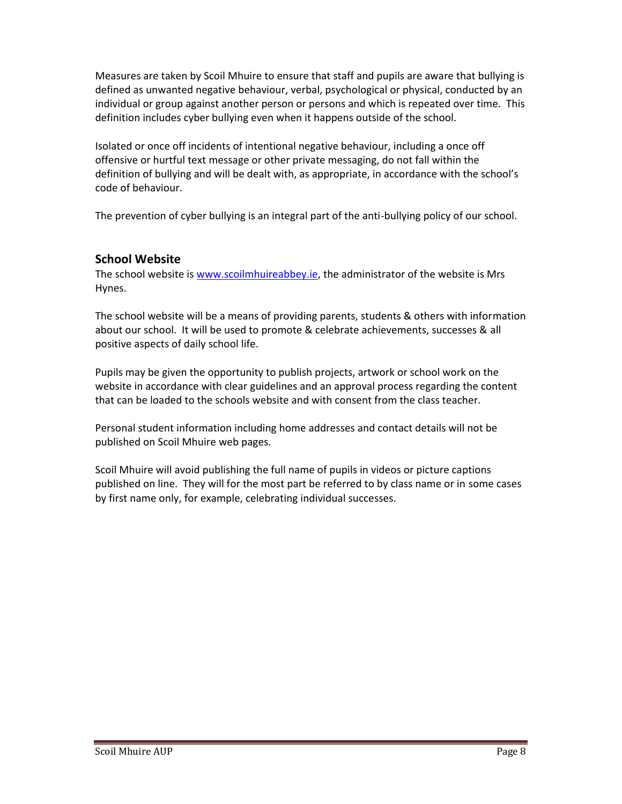Measures are taken by Scoil Mhuire to ensure that staff and pupils are aware that bullying is defined as unwanted negative behaviour, verbal, psychological or physical, conducted by an individual or group against another person or persons and which is repeated over time. This definition includes cyber bullying even when it happens outside of the school.

Isolated or once off incidents of intentional negative behaviour, including a once off offensive or hurtful text message or other private messaging, do not fall within the definition of bullying and will be dealt with, as appropriate, in accordance with the school's code of behaviour.

The prevention of cyber bullying is an integral part of the anti-bullying policy of our school.

# **School Website**

The school website is www.scoilmhuireabbey.ie, the administrator of the website is Mrs Hynes.

The school website will be a means of providing parents, students & others with information about our school. It will be used to promote & celebrate achievements, successes & all positive aspects of daily school life.

Pupils may be given the opportunity to publish projects, artwork or school work on the website in accordance with clear guidelines and an approval process regarding the content that can be loaded to the schools website and with consent from the class teacher.

Personal student information including home addresses and contact details will not be published on Scoil Mhuire web pages.

Scoil Mhuire will avoid publishing the full name of pupils in videos or picture captions published on line. They will for the most part be referred to by class name or in some cases by first name only, for example, celebrating individual successes.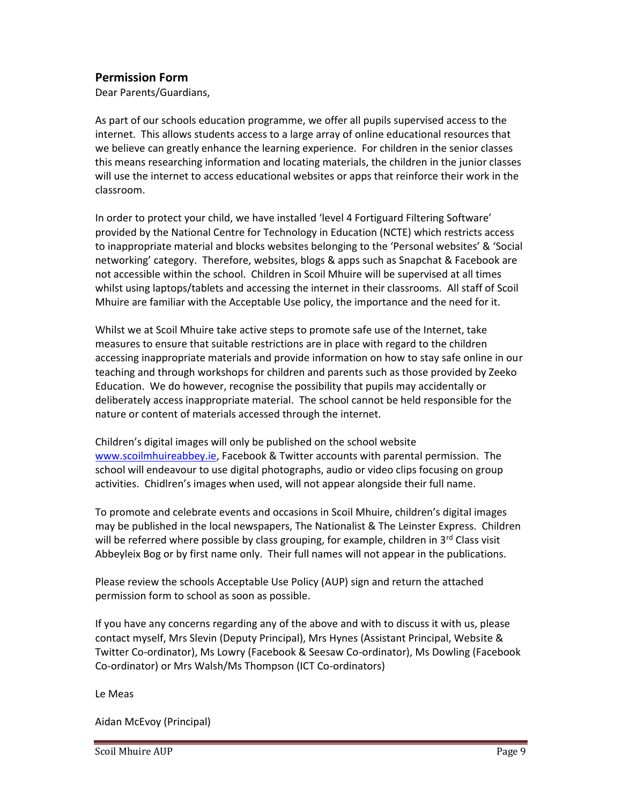#### **Permission Form**

Dear Parents/Guardians,

As part of our schools education programme, we offer all pupils supervised access to the internet. This allows students access to a large array of online educational resources that we believe can greatly enhance the learning experience. For children in the senior classes this means researching information and locating materials, the children in the junior classes will use the internet to access educational websites or apps that reinforce their work in the classroom.

In order to protect your child, we have installed 'level 4 Fortiguard Filtering Software' provided by the National Centre for Technology in Education (NCTE) which restricts access to inappropriate material and blocks websites belonging to the 'Personal websites' & 'Social networking' category. Therefore, websites, blogs & apps such as Snapchat & Facebook are not accessible within the school. Children in Scoil Mhuire will be supervised at all times whilst using laptops/tablets and accessing the internet in their classrooms. All staff of Scoil Mhuire are familiar with the Acceptable Use policy, the importance and the need for it.

Whilst we at Scoil Mhuire take active steps to promote safe use of the Internet, take measures to ensure that suitable restrictions are in place with regard to the children accessing inappropriate materials and provide information on how to stay safe online in our teaching and through workshops for children and parents such as those provided by Zeeko Education. We do however, recognise the possibility that pupils may accidentally or deliberately access inappropriate material. The school cannot be held responsible for the nature or content of materials accessed through the internet.

Children's digital images will only be published on the school website www.scoilmhuireabbey.ie, Facebook & Twitter accounts with parental permission. The school will endeavour to use digital photographs, audio or video clips focusing on group activities. Chidlren's images when used, will not appear alongside their full name.

To promote and celebrate events and occasions in Scoil Mhuire, children's digital images may be published in the local newspapers, The Nationalist & The Leinster Express. Children will be referred where possible by class grouping, for example, children in  $3<sup>rd</sup>$  Class visit Abbeyleix Bog or by first name only. Their full names will not appear in the publications.

Please review the schools Acceptable Use Policy (AUP) sign and return the attached permission form to school as soon as possible.

If you have any concerns regarding any of the above and with to discuss it with us, please contact myself, Mrs Slevin (Deputy Principal), Mrs Hynes (Assistant Principal, Website & Twitter Co-ordinator), Ms Lowry (Facebook & Seesaw Co-ordinator), Ms Dowling (Facebook Co-ordinator) or Mrs Walsh/Ms Thompson (ICT Co-ordinators)

Le Meas

Aidan McEvoy (Principal)

Scoil Mhuire AUP Page 9